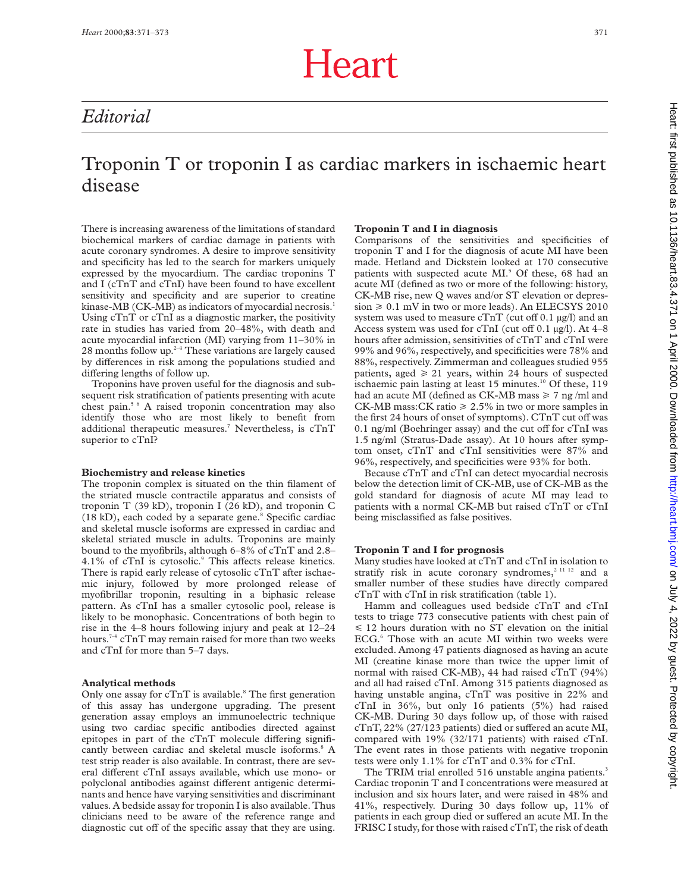# Heart

## *Editorial*

## Troponin T or troponin I as cardiac markers in ischaemic heart disease

There is increasing awareness of the limitations of standard biochemical markers of cardiac damage in patients with acute coronary syndromes. A desire to improve sensitivity and specificity has led to the search for markers uniquely expressed by the myocardium. The cardiac troponins T and I (cTnT and cTnI) have been found to have excellent sensitivity and specificity and are superior to creatine kinase-MB (CK-MB) as indicators of myocardial necrosis.<sup>1</sup> Using cTnT or cTnI as a diagnostic marker, the positivity rate in studies has varied from 20–48%, with death and acute myocardial infarction (MI) varying from 11–30% in 28 months follow up. $24$  These variations are largely caused by differences in risk among the populations studied and differing lengths of follow up.

Troponins have proven useful for the diagnosis and subsequent risk stratification of patients presenting with acute chest pain.5 6 A raised troponin concentration may also identify those who are most likely to benefit from additional therapeutic measures.<sup>7</sup> Nevertheless, is cTnT superior to cTnI?

#### **Biochemistry and release kinetics**

The troponin complex is situated on the thin filament of the striated muscle contractile apparatus and consists of troponin T (39 kD), troponin I (26 kD), and troponin C  $(18 kD)$ , each coded by a separate gene.<sup>8</sup> Specific cardiac and skeletal muscle isoforms are expressed in cardiac and skeletal striated muscle in adults. Troponins are mainly bound to the myofibrils, although 6–8% of cTnT and 2.8–  $4.1\%$  of cTnI is cytosolic. $9$  This affects release kinetics. There is rapid early release of cytosolic cTnT after ischaemic injury, followed by more prolonged release of myofibrillar troponin, resulting in a biphasic release pattern. As cTnI has a smaller cytosolic pool, release is likely to be monophasic. Concentrations of both begin to rise in the 4–8 hours following injury and peak at 12–24 hours.7–9 cTnT may remain raised for more than two weeks and cTnI for more than 5–7 days.

#### **Analytical methods**

Only one assay for  $cTnT$  is available.<sup>8</sup> The first generation of this assay has undergone upgrading. The present generation assay employs an immunoelectric technique using two cardiac specific antibodies directed against epitopes in part of the  $cTnT$  molecule differing significantly between cardiac and skeletal muscle isoforms.<sup>8</sup> A test strip reader is also available. In contrast, there are several different cTnI assays available, which use mono- or polyclonal antibodies against different antigenic determinants and hence have varying sensitivities and discriminant values. A bedside assay for troponin I is also available. Thus clinicians need to be aware of the reference range and diagnostic cut off of the specific assay that they are using.

#### **Troponin T and I in diagnosis**

Comparisons of the sensitivities and specificities of troponin T and I for the diagnosis of acute MI have been made. Hetland and Dickstein looked at 170 consecutive patients with suspected acute MI.<sup>5</sup> Of these, 68 had an acute MI (defined as two or more of the following: history, CK-MB rise, new Q waves and/or ST elevation or depres $sion \geq 0.1$  mV in two or more leads). An ELECSYS 2010 system was used to measure  $cTnT$  (cut off 0.1 µg/l) and an Access system was used for cTnI (cut off  $0.1 \mu g/l$ ). At  $4-8$ hours after admission, sensitivities of cTnT and cTnI were 99% and 96%, respectively, and specificities were 78% and 88%, respectively. Zimmerman and colleagues studied 955 patients, aged  $\geq 21$  years, within 24 hours of suspected ischaemic pain lasting at least 15 minutes.<sup>10</sup> Of these, 119 had an acute MI (defined as CK-MB mass  $\geq 7$  ng/ml and CK-MB mass: CK ratio  $\geq 2.5\%$  in two or more samples in the first 24 hours of onset of symptoms). CTnT cut off was  $0.1$  ng/ml (Boehringer assay) and the cut off for cTnI was 1.5 ng/ml (Stratus-Dade assay). At 10 hours after symptom onset, cTnT and cTnI sensitivities were 87% and 96%, respectively, and specificities were 93% for both.

Because cTnT and cTnI can detect myocardial necrosis below the detection limit of CK-MB, use of CK-MB as the gold standard for diagnosis of acute MI may lead to patients with a normal CK-MB but raised cTnT or cTnI being misclassified as false positives.

#### **Troponin T and I for prognosis**

Many studies have looked at cTnT and cTnI in isolation to stratify risk in acute coronary syndromes,<sup>2 11 12</sup> and a smaller number of these studies have directly compared cTnT with cTnI in risk stratification (table 1).

Hamm and colleagues used bedside cTnT and cTnI tests to triage 773 consecutive patients with chest pain of  $\leq 12$  hours duration with no ST elevation on the initial ECG.<sup>6</sup> Those with an acute MI within two weeks were excluded. Among 47 patients diagnosed as having an acute MI (creatine kinase more than twice the upper limit of normal with raised CK-MB), 44 had raised cTnT (94%) and all had raised cTnI. Among 315 patients diagnosed as having unstable angina, cTnT was positive in 22% and cTnI in 36%, but only 16 patients (5%) had raised CK-MB. During 30 days follow up, of those with raised  $cTnT$ , 22% (27/123 patients) died or suffered an acute MI, compared with 19% (32/171 patients) with raised cTnI. The event rates in those patients with negative troponin tests were only 1.1% for cTnT and 0.3% for cTnI.

The TRIM trial enrolled 516 unstable angina patients.<sup>3</sup> Cardiac troponin T and I concentrations were measured at inclusion and six hours later, and were raised in 48% and 41%, respectively. During 30 days follow up, 11% of patients in each group died or suffered an acute MI. In the FRISC I study, for those with raised cTnT, the risk of death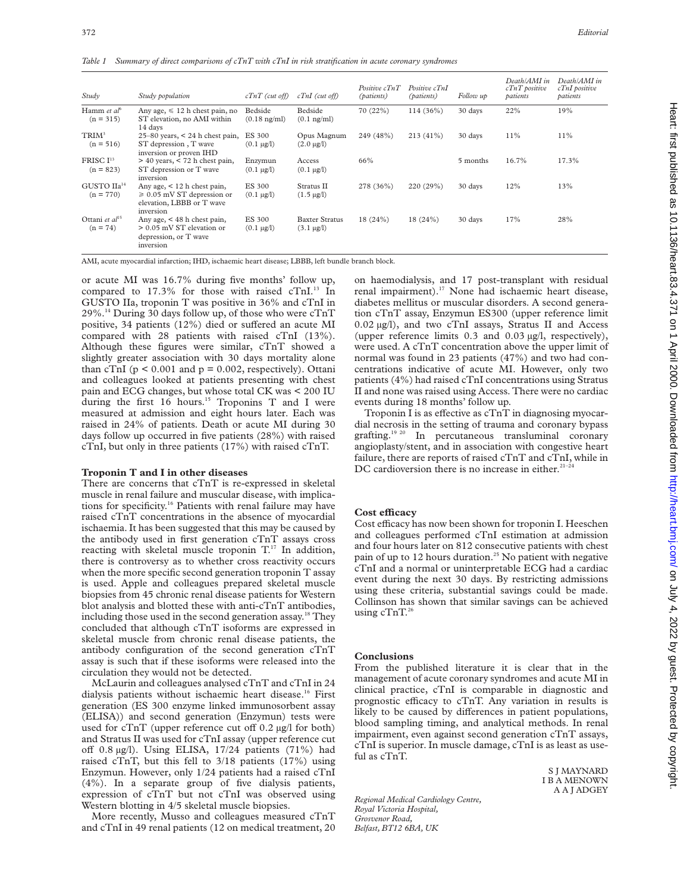*Table 1 Summary of direct comparisons of cTnT with cTnI in risk stratification in acute coronary syndromes*

| Study                                    | Study population                                                                                                  | $cTnT$ (cut off)                  | $cTnI$ (cut off)                           | Positive cTnT<br><i>(patients)</i> | Positive cTnI<br>(patients) | Follow up | Death/AMI in<br>$cTnT$ positive<br>patients | Death/AMI in<br>cTnI positive<br>patients |
|------------------------------------------|-------------------------------------------------------------------------------------------------------------------|-----------------------------------|--------------------------------------------|------------------------------------|-----------------------------|-----------|---------------------------------------------|-------------------------------------------|
| Hamm et $a^b$<br>$(n = 315)$             | Any age, $\leq 12$ h chest pain, no<br>ST elevation, no AMI within<br>14 days                                     | Bedside<br>$(0.18 \text{ ng/ml})$ | Bedside<br>$(0.1 \text{ ng/ml})$           | 70 (22%)                           | $114(36\%)$                 | 30 days   | 22%                                         | 19%                                       |
| $TRIM^3$<br>$(n = 516)$                  | $25-80$ years, < 24 h chest pain,<br>ST depression, T wave<br>inversion or proven IHD                             | ES 300<br>$(0.1 \mu g/l)$         | Opus Magnum<br>$(2.0 \mu g/l)$             | 249 (48%)                          | $213(41\%)$                 | 30 days   | 11%                                         | 11%                                       |
| FRISC $I13$<br>$(n = 823)$               | $>$ 40 years, $<$ 72 h chest pain,<br>ST depression or T wave<br>inversion                                        | Enzymun<br>$(0.1 \mu g/l)$        | Access<br>$(0.1 \,\mu g/l)$                | 66%                                |                             | 5 months  | 16.7%                                       | 17.3%                                     |
| GUSTO IIa <sup>14</sup><br>$(n = 770)$   | Any age, $\lt 12$ h chest pain,<br>$\geqslant 0.05$ mV ST depression or<br>elevation, LBBB or T wave<br>inversion | <b>ES 300</b><br>$(0.1 \mu g/l)$  | Stratus II<br>$(1.5 \,\mu g/l)$            | 278 (36%)                          | 220 (29%)                   | 30 days   | 12%                                         | 13%                                       |
| Ottani et al <sup>15</sup><br>$(n = 74)$ | Any age, $<$ 48 h chest pain,<br>$> 0.05$ mV ST elevation or<br>depression, or T wave<br>inversion                | ES 300<br>$(0.1 \mu g/l)$         | <b>Baxter Stratus</b><br>$(3.1 \,\mu g/l)$ | 18(24%)                            | 18(24%)                     | 30 days   | 17%                                         | 28%                                       |

AMI, acute myocardial infarction; IHD, ischaemic heart disease; LBBB, left bundle branch block.

or acute MI was 16.7% during five months' follow up, compared to  $17.3\%$  for those with raised cTnI.<sup>13</sup> In GUSTO IIa, troponin T was positive in 36% and cTnI in 29%.14 During 30 days follow up, of those who were cTnT positive, 34 patients  $(12\%)$  died or suffered an acute MI compared with 28 patients with raised cTnI (13%). Although these figures were similar, cTnT showed a slightly greater association with 30 days mortality alone than cTnI ( $p < 0.001$  and  $p = 0.002$ , respectively). Ottani and colleagues looked at patients presenting with chest pain and ECG changes, but whose total CK was < 200 IU during the first 16 hours.<sup>15</sup> Troponins T and I were measured at admission and eight hours later. Each was raised in 24% of patients. Death or acute MI during 30 days follow up occurred in five patients (28%) with raised cTnI, but only in three patients (17%) with raised cTnT.

#### **Troponin T and I in other diseases**

There are concerns that cTnT is re-expressed in skeletal muscle in renal failure and muscular disease, with implications for specificity.<sup>16</sup> Patients with renal failure may have raised cTnT concentrations in the absence of myocardial ischaemia. It has been suggested that this may be caused by the antibody used in first generation cTnT assays cross reacting with skeletal muscle troponin  $T<sup>17</sup>$  In addition, there is controversy as to whether cross reactivity occurs when the more specific second generation troponin T assay is used. Apple and colleagues prepared skeletal muscle biopsies from 45 chronic renal disease patients for Western blot analysis and blotted these with anti-cTnT antibodies, including those used in the second generation assay.<sup>18</sup> They concluded that although cTnT isoforms are expressed in skeletal muscle from chronic renal disease patients, the antibody configuration of the second generation cTnT assay is such that if these isoforms were released into the circulation they would not be detected.

McLaurin and colleagues analysed cTnT and cTnI in 24 dialysis patients without ischaemic heart disease.<sup>16</sup> First generation (ES 300 enzyme linked immunosorbent assay (ELISA)) and second generation (Enzymun) tests were used for  $cTnT$  (upper reference cut off 0.2  $\mu$ g/l for both) and Stratus II was used for cTnI assay (upper reference cut off  $0.8 \mu g/l$ ). Using ELISA, 17/24 patients (71%) had raised cTnT, but this fell to 3/18 patients (17%) using Enzymun. However, only 1/24 patients had a raised cTnI (4%). In a separate group of five dialysis patients, expression of cTnT but not cTnI was observed using Western blotting in 4/5 skeletal muscle biopsies.

More recently, Musso and colleagues measured cTnT and cTnI in 49 renal patients (12 on medical treatment, 20 on haemodialysis, and 17 post-transplant with residual renal impairment).<sup>17</sup> None had ischaemic heart disease, diabetes mellitus or muscular disorders. A second generation cTnT assay, Enzymun ES300 (upper reference limit 0.02 µg/l), and two cTnI assays, Stratus II and Access (upper reference limits 0.3 and 0.03 µg/l, respectively), were used. A cTnT concentration above the upper limit of normal was found in 23 patients (47%) and two had concentrations indicative of acute MI. However, only two patients (4%) had raised cTnI concentrations using Stratus II and none was raised using Access. There were no cardiac events during 18 months' follow up.

Troponin I is as effective as  $cTnT$  in diagnosing myocardial necrosis in the setting of trauma and coronary bypass grafting.19 20 In percutaneous transluminal coronary angioplasty/stent, and in association with congestive heart failure, there are reports of raised cTnT and cTnI, while in DC cardioversion there is no increase in either.<sup>21-2</sup>

#### **Cost eYcacy**

Cost efficacy has now been shown for troponin I. Heeschen and colleagues performed cTnI estimation at admission and four hours later on 812 consecutive patients with chest pain of up to 12 hours duration.<sup>25</sup> No patient with negative cTnI and a normal or uninterpretable ECG had a cardiac event during the next 30 days. By restricting admissions using these criteria, substantial savings could be made. Collinson has shown that similar savings can be achieved using  $cTnT$ <sup>26</sup>

#### **Conclusions**

From the published literature it is clear that in the management of acute coronary syndromes and acute MI in clinical practice, cTnI is comparable in diagnostic and prognostic efficacy to cTnT. Any variation in results is likely to be caused by differences in patient populations, blood sampling timing, and analytical methods. In renal impairment, even against second generation cTnT assays, cTnI is superior. In muscle damage, cTnI is as least as useful as cTnT.

> S J MAYNARD I B A MENOWN A A J ADGEY

*Regional Medical Cardiology Centre, Royal Victoria Hospital, Grosvenor Road, Belfast, BT12 6BA, UK*